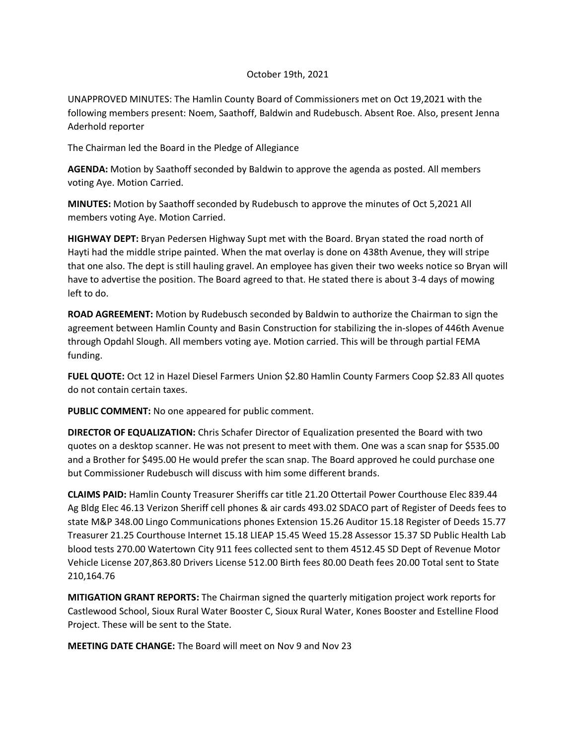### October 19th, 2021

UNAPPROVED MINUTES: The Hamlin County Board of Commissioners met on Oct 19,2021 with the following members present: Noem, Saathoff, Baldwin and Rudebusch. Absent Roe. Also, present Jenna Aderhold reporter

The Chairman led the Board in the Pledge of Allegiance

**AGENDA:** Motion by Saathoff seconded by Baldwin to approve the agenda as posted. All members voting Aye. Motion Carried.

**MINUTES:** Motion by Saathoff seconded by Rudebusch to approve the minutes of Oct 5,2021 All members voting Aye. Motion Carried.

**HIGHWAY DEPT:** Bryan Pedersen Highway Supt met with the Board. Bryan stated the road north of Hayti had the middle stripe painted. When the mat overlay is done on 438th Avenue, they will stripe that one also. The dept is still hauling gravel. An employee has given their two weeks notice so Bryan will have to advertise the position. The Board agreed to that. He stated there is about 3-4 days of mowing left to do.

**ROAD AGREEMENT:** Motion by Rudebusch seconded by Baldwin to authorize the Chairman to sign the agreement between Hamlin County and Basin Construction for stabilizing the in-slopes of 446th Avenue through Opdahl Slough. All members voting aye. Motion carried. This will be through partial FEMA funding.

**FUEL QUOTE:** Oct 12 in Hazel Diesel Farmers Union \$2.80 Hamlin County Farmers Coop \$2.83 All quotes do not contain certain taxes.

**PUBLIC COMMENT:** No one appeared for public comment.

**DIRECTOR OF EQUALIZATION:** Chris Schafer Director of Equalization presented the Board with two quotes on a desktop scanner. He was not present to meet with them. One was a scan snap for \$535.00 and a Brother for \$495.00 He would prefer the scan snap. The Board approved he could purchase one but Commissioner Rudebusch will discuss with him some different brands.

**CLAIMS PAID:** Hamlin County Treasurer Sheriffs car title 21.20 Ottertail Power Courthouse Elec 839.44 Ag Bldg Elec 46.13 Verizon Sheriff cell phones & air cards 493.02 SDACO part of Register of Deeds fees to state M&P 348.00 Lingo Communications phones Extension 15.26 Auditor 15.18 Register of Deeds 15.77 Treasurer 21.25 Courthouse Internet 15.18 LIEAP 15.45 Weed 15.28 Assessor 15.37 SD Public Health Lab blood tests 270.00 Watertown City 911 fees collected sent to them 4512.45 SD Dept of Revenue Motor Vehicle License 207,863.80 Drivers License 512.00 Birth fees 80.00 Death fees 20.00 Total sent to State 210,164.76

**MITIGATION GRANT REPORTS:** The Chairman signed the quarterly mitigation project work reports for Castlewood School, Sioux Rural Water Booster C, Sioux Rural Water, Kones Booster and Estelline Flood Project. These will be sent to the State.

**MEETING DATE CHANGE:** The Board will meet on Nov 9 and Nov 23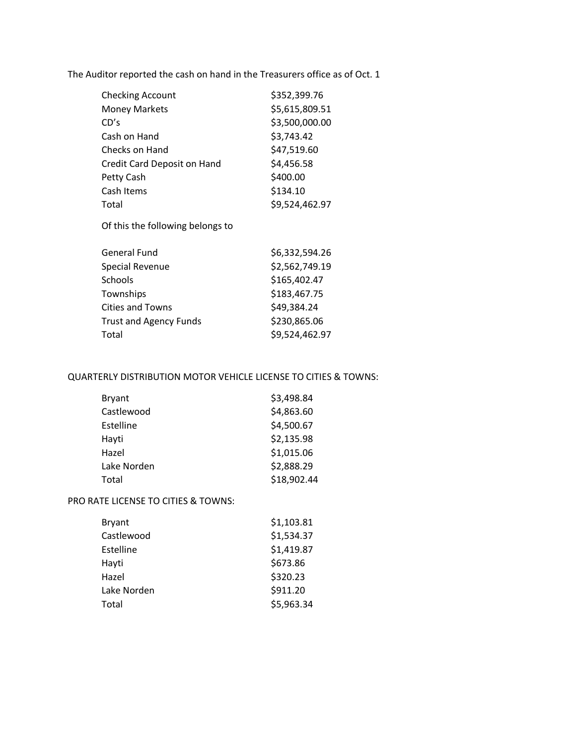The Auditor reported the cash on hand in the Treasurers office as of Oct. 1

| \$352,399.76   |
|----------------|
| \$5,615,809.51 |
| \$3,500,000.00 |
| \$3,743.42     |
| \$47,519.60    |
| \$4,456.58     |
| \$400.00       |
| \$134.10       |
| \$9,524,462.97 |
|                |

Of this the following belongs to

| General Fund                  | \$6,332,594.26 |
|-------------------------------|----------------|
| Special Revenue               | \$2,562,749.19 |
| Schools                       | \$165,402.47   |
| Townships                     | \$183,467.75   |
| <b>Cities and Towns</b>       | \$49,384.24    |
| <b>Trust and Agency Funds</b> | \$230,865.06   |
| Total                         | \$9,524,462.97 |
|                               |                |

## QUARTERLY DISTRIBUTION MOTOR VEHICLE LICENSE TO CITIES & TOWNS:

| <b>Bryant</b> | \$3,498.84  |
|---------------|-------------|
| Castlewood    | \$4,863.60  |
| Estelline     | \$4,500.67  |
| Hayti         | \$2,135.98  |
| Hazel         | \$1,015.06  |
| Lake Norden   | \$2,888.29  |
| Total         | \$18,902.44 |

# PRO RATE LICENSE TO CITIES & TOWNS:

| <b>Bryant</b> | \$1,103.81 |
|---------------|------------|
| Castlewood    | \$1,534.37 |
| Estelline     | \$1,419.87 |
| Hayti         | \$673.86   |
| Hazel         | \$320.23   |
| Lake Norden   | \$911.20   |
| Total         | \$5,963.34 |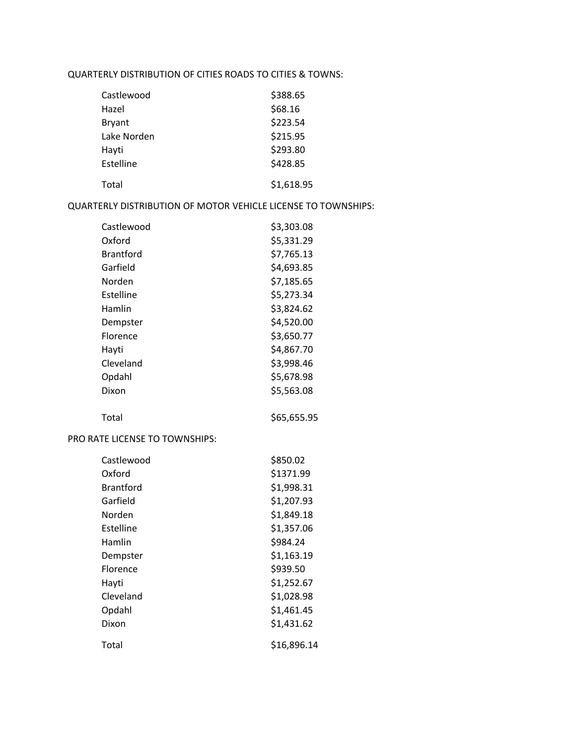## QUARTERLY DISTRIBUTION OF CITIES ROADS TO CITIES & TOWNS:

| Castlewood  | \$388.65   |
|-------------|------------|
| Hazel       | \$68.16    |
| Bryant      | \$223.54   |
| Lake Norden | \$215.95   |
| Hayti       | \$293.80   |
| Estelline   | \$428.85   |
| Total       | \$1,618.95 |

#### QUARTERLY DISTRIBUTION OF MOTOR VEHICLE LICENSE TO TOWNSHIPS:

| Castlewood       | \$3,303.08  |
|------------------|-------------|
| Oxford           | \$5,331.29  |
| <b>Brantford</b> | \$7,765.13  |
| Garfield         | \$4,693.85  |
| Norden           | \$7,185.65  |
| Estelline        | \$5,273.34  |
| Hamlin           | \$3,824.62  |
| Dempster         | \$4,520.00  |
| Florence         | \$3,650.77  |
| Hayti            | \$4,867.70  |
| Cleveland        | \$3,998.46  |
| Opdahl           | \$5,678.98  |
| Dixon            | \$5,563.08  |
| Total            | \$65,655.95 |

### PRO RATE LICENSE TO TOWNSHIPS:

| Castlewood       | \$850.02    |
|------------------|-------------|
| Oxford           | \$1371.99   |
| <b>Brantford</b> | \$1,998.31  |
| Garfield         | \$1,207.93  |
| Norden           | \$1,849.18  |
| Estelline        | \$1,357.06  |
| Hamlin           | \$984.24    |
| Dempster         | \$1,163.19  |
| <b>Florence</b>  | \$939.50    |
| Hayti            | \$1,252.67  |
| Cleveland        | \$1,028.98  |
| Opdahl           | \$1,461.45  |
| Dixon            | \$1,431.62  |
| Total            | \$16,896.14 |